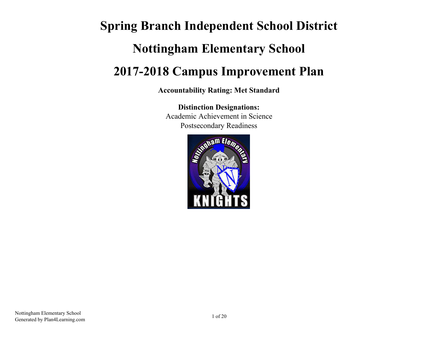# **Spring Branch Independent School District Nottingham Elementary School 2017-2018 Campus Improvement Plan**

**Accountability Rating: Met Standard**

**Distinction Designations:** Academic Achievement in Science Postsecondary Readiness

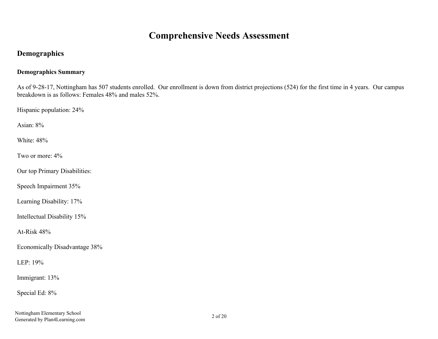# **Comprehensive Needs Assessment**

# **Demographics**

# **Demographics Summary**

As of 9-28-17, Nottingham has 507 students enrolled. Our enrollment is down from district projections (524) for the first time in 4 years. Our campus breakdown is as follows: Females 48% and males 52%.

Hispanic population: 24%

Asian: 8%

White: 48%

Two or more: 4%

Our top Primary Disabilities:

Speech Impairment 35%

Learning Disability: 17%

Intellectual Disability 15%

At-Risk 48%

Economically Disadvantage 38%

LEP: 19%

Immigrant: 13%

Special Ed: 8%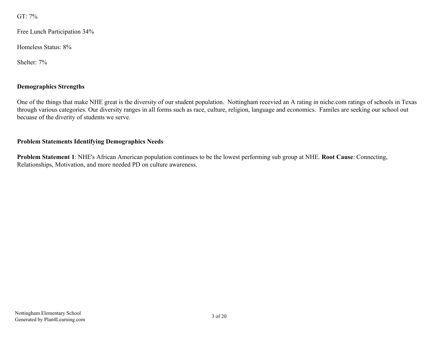GT: 7%

Free Lunch Participation 34%

Homeless Status: 8%

Shelter: 7%

# **Demographics Strengths**

One of the things that make NHE great is the diversity of our student population. Nottingham recevied an A rating in niche.com ratings of schools in Texas through various categories. Our diversity ranges in all forms such as race, culture, religion, language and economics. Familes are seeking our school out becuase of the diverity of students we serve.

# **Problem Statements Identifying Demographics Needs**

**Problem Statement 1**: NHE's African American population continues to be the lowest performing sub group at NHE. **Root Cause**: Connecting, Relationships, Motivation, and more needed PD on culture awareness.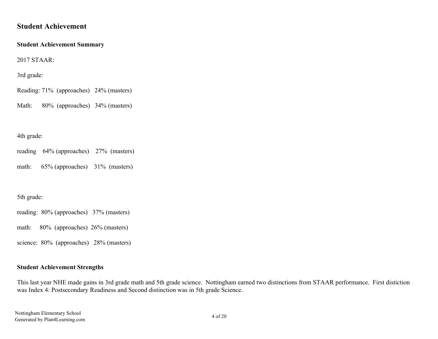# **Student Achievement**

#### **Student Achievement Summary**

2017 STAAR:

3rd grade:

Reading: 71% (approaches) 24% (masters)

Math: 80% (approaches) 34% (masters)

## 4th grade:

reading 64% (approaches) 27% (masters)

math: 65% (approaches) 31% (masters)

5th grade:

reading: 80% (approaches) 37% (masters)

math: 80% (approaches) 26% (masters)

science: 80% (approaches) 28% (masters)

# **Student Achievement Strengths**

This last year NHE made gains in 3rd grade math and 5th grade science. Nottingham earned two distinctions from STAAR performance. First distiction was Index 4: Postsecondary Readiness and Second distinction was in 5th grade Science.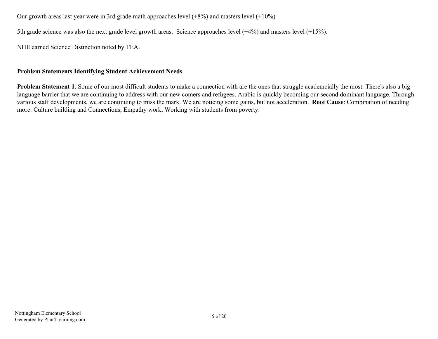Our growth areas last year were in 3rd grade math approaches level (+8%) and masters level (+10%)

5th grade science was also the next grade level growth areas. Science approaches level (+4%) and masters level (+15%).

NHE earned Science Distinction noted by TEA.

## **Problem Statements Identifying Student Achievement Needs**

**Problem Statement 1**: Some of our most difficult students to make a connection with are the ones that struggle academcially the most. There's also a big language barrier that we are continuing to address with our new comers and refugees. Arabic is quickly becoming our second dominant language. Through various staff developments, we are continuing to miss the mark. We are noticing some gains, but not acceleration. **Root Cause**: Combination of needing more: Culture building and Connections, Empathy work, Working with students from poverty.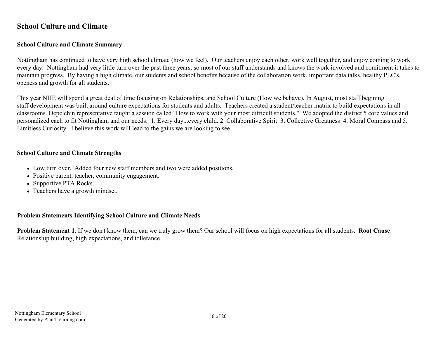# **School Culture and Climate**

# **School Culture and Climate Summary**

Nottingham has continued to have very high school climate (how we feel). Our teachers enjoy each other, work well together, and enjoy coming to work every day. Nottingham had very little turn over the past three years, so most of our staff understands and knows the work involved and comitment it takes to maintain progress. By having a high climate, our students and school benefits because of the collaboration work, important data talks, healthy PLC's, openess and growth for all students.

This year NHE will spend a great deal of time focusing on Relationships, and School Culture (How we behave). In August, most staff begining staff development was built around culture expectations for students and adults. Teachers created a student/teacher matrix to build expectations in all classrooms. Depelchin representative taught a session called "How to work with your most difficult students." We adopted the district 5 core values and personalized each to fit Nottingham and our needs. 1. Every day...every child. 2. Collaborative Spirit 3. Collective Greatness 4. Moral Compass and 5. Limitless Curiosity. I believe this work will lead to the gains we are looking to see.

#### **School Culture and Climate Strengths**

- Low turn over. Added four new staff members and two were added positions.
- Positive parent, teacher, community engagement.
- Supportive PTA Rocks.
- Teachers have a growth mindset.

## **Problem Statements Identifying School Culture and Climate Needs**

**Problem Statement 1**: If we don't know them, can we truly grow them? Our school will focus on high expectations for all students. **Root Cause**: Relationship building, high expectations, and tollerance.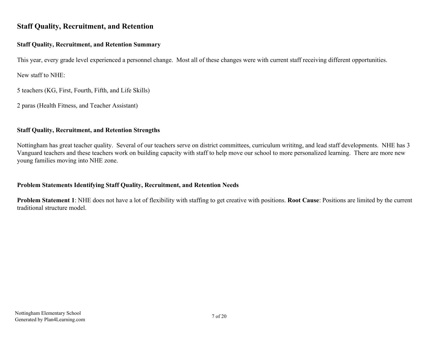# **Staff Quality, Recruitment, and Retention**

# **Staff Quality, Recruitment, and Retention Summary**

This year, every grade level experienced a personnel change. Most all of these changes were with current staff receiving different opportunities.

New staff to NHE:

5 teachers (KG, First, Fourth, Fifth, and Life Skills)

2 paras (Health Fitness, and Teacher Assistant)

# **Staff Quality, Recruitment, and Retention Strengths**

Nottingham has great teacher quality. Several of our teachers serve on district committees, curriculum writitng, and lead staff developments. NHE has 3 Vanguard teachers and these teachers work on building capacity with staff to help move our school to more personalized learning. There are more new young families moving into NHE zone.

# **Problem Statements Identifying Staff Quality, Recruitment, and Retention Needs**

**Problem Statement 1**: NHE does not have a lot of flexibility with staffing to get creative with positions. **Root Cause**: Positions are limited by the current traditional structure model.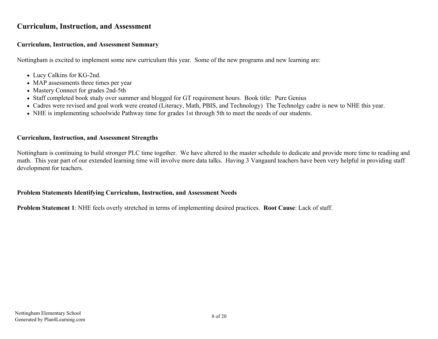# **Curriculum, Instruction, and Assessment**

# **Curriculum, Instruction, and Assessment Summary**

Nottingham is excited to implement some new curriculum this year. Some of the new programs and new learning are:

- Lucy Calkins for KG-2nd.
- MAP assessments three times per year
- Mastery Connect for grades 2nd-5th
- Staff completed book study over summer and blogged for GT requirement hours. Book title: Pure Genius
- Cadres were revised and goal work were created (Literacy, Math, PBIS, and Technology) The Technolgy cadre is new to NHE this year.
- NHE is implementing schoolwide Pathway time for grades 1st through 5th to meet the needs of our students.

## **Curriculum, Instruction, and Assessment Strengths**

Nottingham is continuing to build stronger PLC time together. We have altered to the master schedule to dedicate and provide more time to readiing and math. This year part of our extended learning time will involve more data talks. Having 3 Vangaurd teachers have been very helpful in providing staff development for teachers.

## **Problem Statements Identifying Curriculum, Instruction, and Assessment Needs**

**Problem Statement 1**: NHE feels overly stretched in terms of implementing desired practices. **Root Cause**: Lack of staff.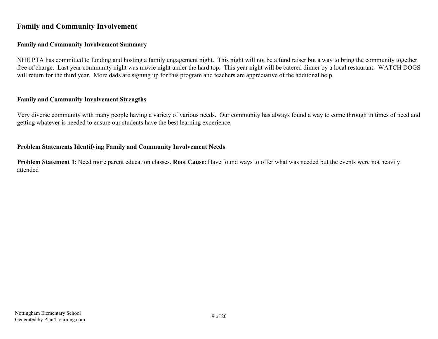# **Family and Community Involvement**

#### **Family and Community Involvement Summary**

NHE PTA has committed to funding and hosting a family engagement night. This night will not be a fund raiser but a way to bring the community together free of charge. Last year community night was movie night under the hard top. This year night will be catered dinner by a local restaurant. WATCH DOGS will return for the third year. More dads are signing up for this program and teachers are appreciative of the additonal help.

#### **Family and Community Involvement Strengths**

Very diverse community with many people having a variety of various needs. Our community has always found a way to come through in times of need and getting whatever is needed to ensure our students have the best learning experience.

#### **Problem Statements Identifying Family and Community Involvement Needs**

**Problem Statement 1**: Need more parent education classes. **Root Cause**: Have found ways to offer what was needed but the events were not heavily attended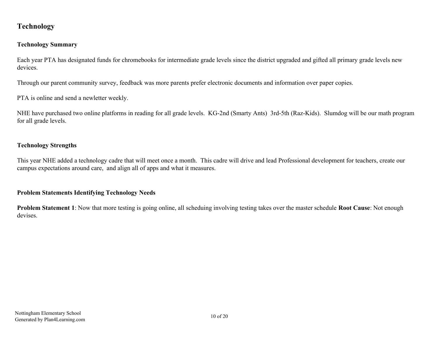# **Technology**

# **Technology Summary**

Each year PTA has designated funds for chromebooks for intermediate grade levels since the district upgraded and gifted all primary grade levels new devices.

Through our parent community survey, feedback was more parents prefer electronic documents and information over paper copies.

PTA is online and send a newletter weekly.

NHE have purchased two online platforms in reading for all grade levels. KG-2nd (Smarty Ants) 3rd-5th (Raz-Kids). Slumdog will be our math program for all grade levels.

# **Technology Strengths**

This year NHE added a technology cadre that will meet once a month. This cadre will drive and lead Professional development for teachers, create our campus expectations around care, and align all of apps and what it measures.

# **Problem Statements Identifying Technology Needs**

**Problem Statement 1**: Now that more testing is going online, all scheduing involving testing takes over the master schedule **Root Cause**: Not enough devises.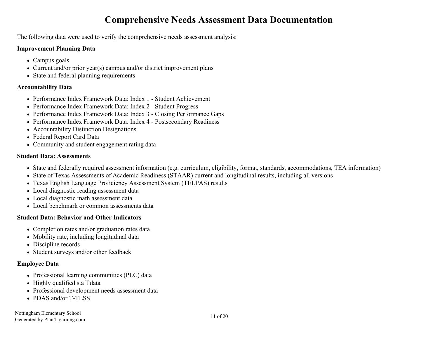# **Comprehensive Needs Assessment Data Documentation**

The following data were used to verify the comprehensive needs assessment analysis:

#### **Improvement Planning Data**

- Campus goals
- Current and/or prior year(s) campus and/or district improvement plans
- State and federal planning requirements

# **Accountability Data**

- Performance Index Framework Data: Index 1 Student Achievement
- Performance Index Framework Data: Index 2 Student Progress
- Performance Index Framework Data: Index 3 Closing Performance Gaps
- Performance Index Framework Data: Index 4 Postsecondary Readiness
- Accountability Distinction Designations
- Federal Report Card Data
- Community and student engagement rating data

# **Student Data: Assessments**

- State and federally required assessment information (e.g. curriculum, eligibility, format, standards, accommodations, TEA information)
- State of Texas Assessments of Academic Readiness (STAAR) current and longitudinal results, including all versions
- Texas English Language Proficiency Assessment System (TELPAS) results
- Local diagnostic reading assessment data
- Local diagnostic math assessment data
- Local benchmark or common assessments data

# **Student Data: Behavior and Other Indicators**

- Completion rates and/or graduation rates data
- Mobility rate, including longitudinal data
- Discipline records
- Student surveys and/or other feedback

# **Employee Data**

- Professional learning communities (PLC) data
- Highly qualified staff data
- Professional development needs assessment data
- PDAS and/or T-TESS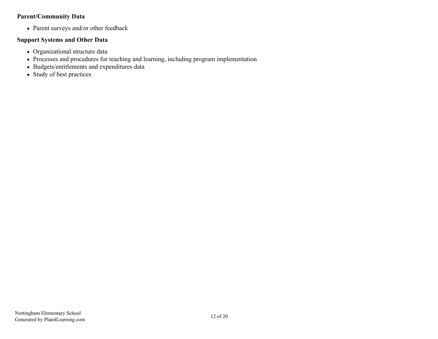# **Parent/Community Data**

Parent surveys and/or other feedback

#### **Support Systems and Other Data**

- Organizational structure data
- Processes and procedures for teaching and learning, including program implementation
- Budgets/entitlements and expenditures data
- Study of best practices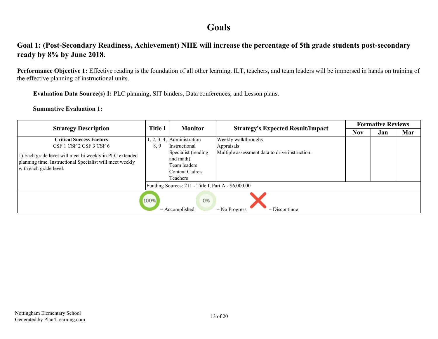# **Goals**

# **Goal 1: (Post-Secondary Readiness, Achievement) NHE will increase the percentage of 5th grade students post-secondary ready by 8% by June 2018.**

**Performance Objective 1:** Effective reading is the foundation of all other learning. ILT, teachers, and team leaders will be immersed in hands on training of the effective planning of instructional units.

**Evaluation Data Source(s) 1:** PLC planning, SIT binders, Data conferences, and Lesson plans.

| <b>Strategy Description</b>                                                                                                                   |                | <b>Monitor</b>                                                                  |                                                | <b>Formative Reviews</b> |     |     |  |
|-----------------------------------------------------------------------------------------------------------------------------------------------|----------------|---------------------------------------------------------------------------------|------------------------------------------------|--------------------------|-----|-----|--|
|                                                                                                                                               | <b>Title I</b> |                                                                                 | <b>Strategy's Expected Result/Impact</b>       | <b>Nov</b>               | Jan | Mar |  |
| <b>Critical Success Factors</b>                                                                                                               | 1, 2, 3, 4,    | Administration                                                                  | Weekly walkthroughs                            |                          |     |     |  |
| CSF 1 CSF 2 CSF 3 CSF 6                                                                                                                       | 8, 9           | <i>Instructional</i>                                                            | Appraisals                                     |                          |     |     |  |
| 1) Each grade level will meet bi weekly in PLC extended<br>planning time. Instructional Specialist will meet weekly<br>with each grade level. |                | Specialist (reading<br>and math)<br>Team leaders<br>Content Cadre's<br>Teachers | Multiple assessment data to drive instruction. |                          |     |     |  |
|                                                                                                                                               |                | Funding Sources: 211 - Title I, Part A - \$6,000.00                             |                                                |                          |     |     |  |
| 100%<br>0%<br>$=$ Accomplished<br>$=$ Discontinue<br>$=$ No Progress                                                                          |                |                                                                                 |                                                |                          |     |     |  |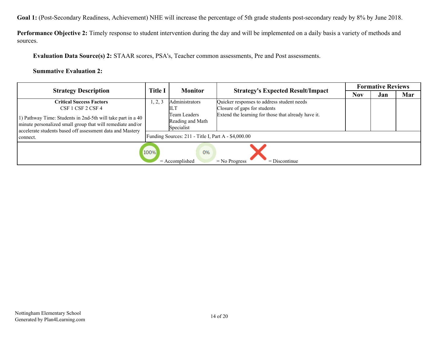**Goal 1:** (Post-Secondary Readiness, Achievement) NHE will increase the percentage of 5th grade students post-secondary ready by 8% by June 2018.

**Performance Objective 2:** Timely response to student intervention during the day and will be implemented on a daily basis a variety of methods and sources.

**Evaluation Data Source(s) 2:** STAAR scores, PSA's, Teacher common assessments, Pre and Post assessments.

| <b>Strategy Description</b>                                                                                                                                                                        |         | <b>Monitor</b>                                      | <b>Strategy's Expected Result/Impact</b>            | <b>Formative Reviews</b> |     |     |
|----------------------------------------------------------------------------------------------------------------------------------------------------------------------------------------------------|---------|-----------------------------------------------------|-----------------------------------------------------|--------------------------|-----|-----|
|                                                                                                                                                                                                    | Title I |                                                     |                                                     | <b>Nov</b>               | Jan | Mar |
| <b>Critical Success Factors</b>                                                                                                                                                                    | 1, 2, 3 | Administrators                                      | Quicker responses to address student needs          |                          |     |     |
| CSF 1 CSF 2 CSF 4                                                                                                                                                                                  |         | ILТ                                                 | Closure of gaps for students                        |                          |     |     |
| 1) Pathway Time: Students in 2nd-5th will take part in a 40<br>minute personalized small group that will remediate and/or<br>accelerate students based off assessment data and Mastery<br>connect. |         | Team Leaders<br>Reading and Math<br>Specialist      | Extend the learning for those that already have it. |                          |     |     |
|                                                                                                                                                                                                    |         | Funding Sources: 211 - Title I, Part A - \$4,000.00 |                                                     |                          |     |     |
|                                                                                                                                                                                                    | 100%    | 0%<br>$=$ Accomplished                              | $=$ Discontinue<br>$=$ No Progress                  |                          |     |     |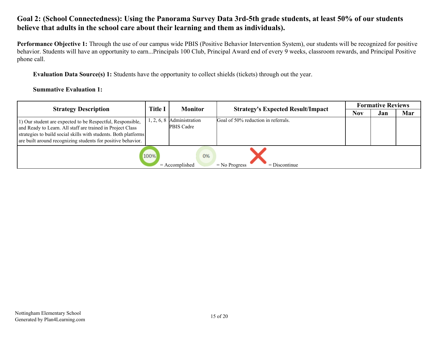# **Goal 2: (School Connectedness): Using the Panorama Survey Data 3rd-5th grade students, at least 50% of our students believe that adults in the school care about their learning and them as individuals).**

**Performance Objective 1:** Through the use of our campus wide PBIS (Positive Behavior Intervention System), our students will be recognized for positive behavior. Students will have an opportunity to earn...Principals 100 Club, Principal Award end of every 9 weeks, classroom rewards, and Principal Positive phone call.

**Evaluation Data Source(s) 1:** Students have the opportunity to collect shields (tickets) through out the year.

| <b>Strategy Description</b>                                                                                                                                                                                                                                 |                | <b>Monitor</b>               | <b>Strategy's Expected Result/Impact</b> | <b>Formative Reviews</b> |     |     |
|-------------------------------------------------------------------------------------------------------------------------------------------------------------------------------------------------------------------------------------------------------------|----------------|------------------------------|------------------------------------------|--------------------------|-----|-----|
|                                                                                                                                                                                                                                                             | <b>Title I</b> |                              |                                          | Nov                      | Jan | Mar |
| 1) Our student are expected to be Respectful, Responsible,<br>and Ready to Learn. All staff are trained in Project Class<br>strategies to build social skills with students. Both platforms<br>are built around recognizing students for positive behavior. | 1, 2, 6, 8     | Administration<br>PBIS Cadre | Goal of 50% reduction in referrals.      |                          |     |     |
|                                                                                                                                                                                                                                                             | 100%           | 0%<br>$=$ Accomplished       | $=$ Discontinue<br>$=$ No Progress       |                          |     |     |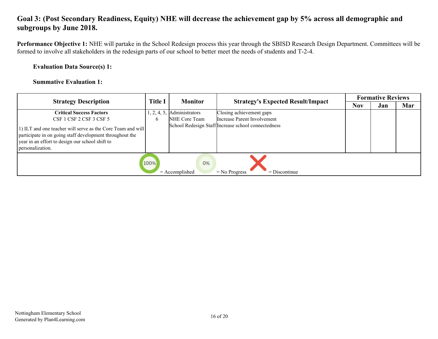# **Goal 3: (Post Secondary Readiness, Equity) NHE will decrease the achievement gap by 5% across all demographic and subgroups by June 2018.**

**Performance Objective 1:** NHE will partake in the School Redesign process this year through the SBISD Research Design Department. Committees will be formed to involve all stakeholders in the redesign parts of our school to better meet the needs of students and T-2-4.

#### **Evaluation Data Source(s) 1:**

| <b>Strategy Description</b>                                                                                                                                                                    |              | <b>Monitor</b>         |                                                     | <b>Formative Reviews</b> |     |     |
|------------------------------------------------------------------------------------------------------------------------------------------------------------------------------------------------|--------------|------------------------|-----------------------------------------------------|--------------------------|-----|-----|
|                                                                                                                                                                                                |              |                        | <b>Strategy's Expected Result/Impact</b>            |                          | Jan | Mar |
| <b>Critical Success Factors</b>                                                                                                                                                                | 1, 2, 4, 5,  | Administrators         | Closing achievement gaps                            |                          |     |     |
| CSF 1 CSF 2 CSF 3 CSF 5                                                                                                                                                                        | <sub>b</sub> | NHE Core Team          | Increase Parent Involvement                         |                          |     |     |
| 1) ILT and one teacher will serve as the Core Team and will<br>participate in on going staff development throughout the<br>year in an effort to design our school shift to<br>personalization. |              |                        | School Redesign Staff Increase school connectedness |                          |     |     |
|                                                                                                                                                                                                | 100%         | 0%<br>$=$ Accomplished | $=$ No Progress<br>$=$ Discontinue                  |                          |     |     |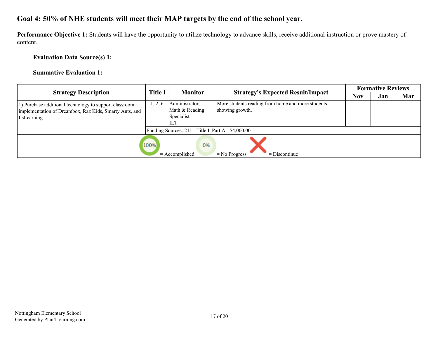# **Goal 4: 50% of NHE students will meet their MAP targets by the end of the school year.**

**Performance Objective 1:** Students will have the opportunity to utilize technology to advance skills, receive additional instruction or prove mastery of content.

# **Evaluation Data Source(s) 1:**

| <b>Strategy Description</b>                                                                                                      |        | <b>Monitor</b><br><b>Strategy's Expected Result/Impact</b> |                                                                      | <b>Formative Reviews</b> |     |     |
|----------------------------------------------------------------------------------------------------------------------------------|--------|------------------------------------------------------------|----------------------------------------------------------------------|--------------------------|-----|-----|
|                                                                                                                                  |        | <b>Title I</b>                                             |                                                                      | <b>Nov</b>               | Jan | Mar |
| 1) Purchase additional technology to support classroom<br>implementation of Dreambox, Raz Kids, Smarty Ants, and<br>ItsLearning. | , 2, 6 | Administrators<br>Math & Reading<br>Specialist             | More students reading from home and more students<br>showing growth. |                          |     |     |
|                                                                                                                                  |        | Funding Sources: $211$ - Title I, Part A - \$4,000.00      |                                                                      |                          |     |     |
|                                                                                                                                  | 100%   | 0%<br>$=$ Accomplished                                     | $=$ Discontinue<br>$=$ No Progress                                   |                          |     |     |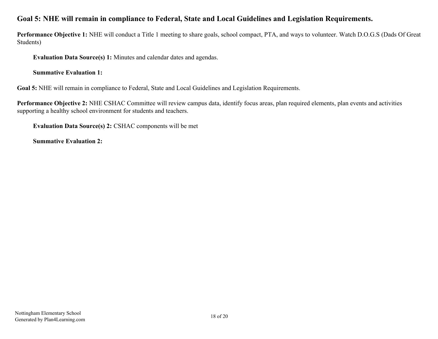# **Goal 5: NHE will remain in compliance to Federal, State and Local Guidelines and Legislation Requirements.**

**Performance Objective 1:** NHE will conduct a Title 1 meeting to share goals, school compact, PTA, and ways to volunteer. Watch D.O.G.S (Dads Of Great Students)

**Evaluation Data Source(s) 1:** Minutes and calendar dates and agendas.

**Summative Evaluation 1:**

**Goal 5:** NHE will remain in compliance to Federal, State and Local Guidelines and Legislation Requirements.

**Performance Objective 2:** NHE CSHAC Committee will review campus data, identify focus areas, plan required elements, plan events and activities supporting a healthy school environment for students and teachers.

**Evaluation Data Source(s) 2:** CSHAC components will be met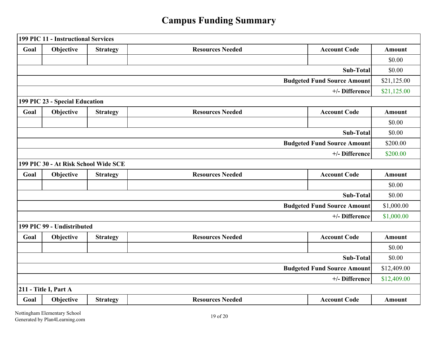# **Campus Funding Summary**

|                                    | 199 PIC 11 - Instructional Services  |                 |                         |                                    |               |
|------------------------------------|--------------------------------------|-----------------|-------------------------|------------------------------------|---------------|
| Goal                               | Objective                            | <b>Strategy</b> | <b>Resources Needed</b> | <b>Account Code</b>                | <b>Amount</b> |
|                                    |                                      |                 |                         |                                    | \$0.00        |
|                                    |                                      |                 |                         | Sub-Total                          | \$0.00        |
|                                    |                                      |                 |                         | <b>Budgeted Fund Source Amount</b> | \$21,125.00   |
|                                    |                                      |                 |                         | +/- Difference                     | \$21,125.00   |
|                                    | 199 PIC 23 - Special Education       |                 |                         |                                    |               |
| Goal                               | Objective                            | <b>Strategy</b> | <b>Resources Needed</b> | <b>Account Code</b>                | <b>Amount</b> |
|                                    |                                      |                 |                         |                                    | \$0.00        |
|                                    |                                      |                 |                         | Sub-Total                          | \$0.00        |
| <b>Budgeted Fund Source Amount</b> |                                      |                 |                         |                                    | \$200.00      |
|                                    |                                      |                 |                         | +/- Difference                     | \$200.00      |
|                                    | 199 PIC 30 - At Risk School Wide SCE |                 |                         |                                    |               |
| Goal                               | Objective                            | <b>Strategy</b> | <b>Resources Needed</b> | <b>Account Code</b>                | <b>Amount</b> |
|                                    |                                      |                 |                         |                                    | \$0.00        |
|                                    |                                      |                 |                         | Sub-Total                          | \$0.00        |
|                                    |                                      |                 |                         | <b>Budgeted Fund Source Amount</b> | \$1,000.00    |
|                                    |                                      |                 |                         | +/- Difference                     | \$1,000.00    |
|                                    | 199 PIC 99 - Undistributed           |                 |                         |                                    |               |
| Goal                               | Objective                            | <b>Strategy</b> | <b>Resources Needed</b> | <b>Account Code</b>                | <b>Amount</b> |
|                                    |                                      |                 |                         |                                    | \$0.00        |
|                                    |                                      |                 |                         | Sub-Total                          | \$0.00        |
|                                    |                                      |                 |                         | <b>Budgeted Fund Source Amount</b> | \$12,409.00   |
|                                    |                                      |                 |                         | +/- Difference                     | \$12,409.00   |
|                                    | 211 - Title I, Part A                |                 |                         |                                    |               |
| Goal                               | Objective                            | <b>Strategy</b> | <b>Resources Needed</b> | <b>Account Code</b>                | <b>Amount</b> |